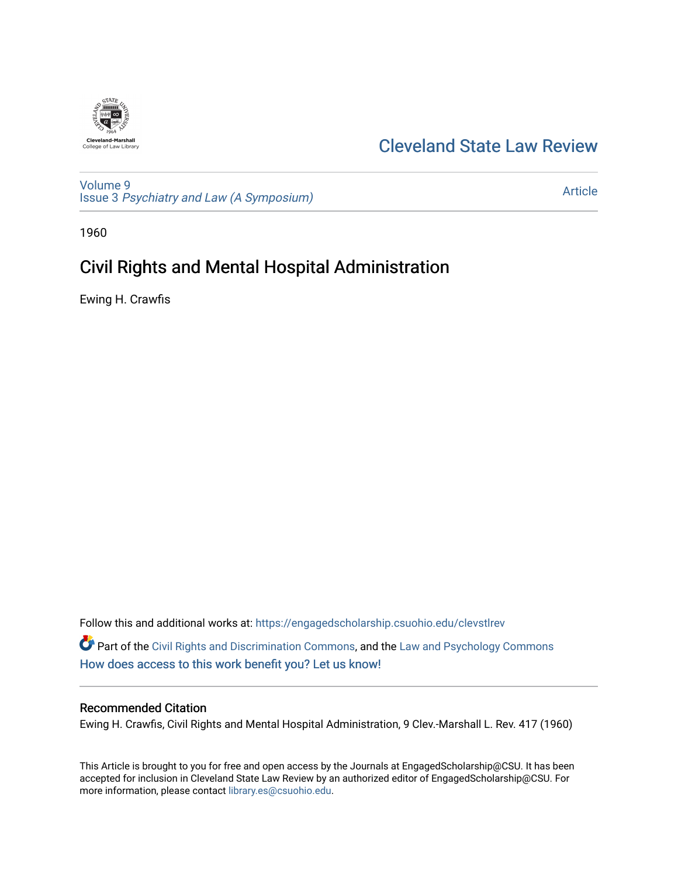

## [Cleveland State Law Review](https://engagedscholarship.csuohio.edu/clevstlrev)

[Volume 9](https://engagedscholarship.csuohio.edu/clevstlrev/vol9) Issue 3 [Psychiatry and Law \(A Symposium\)](https://engagedscholarship.csuohio.edu/clevstlrev/vol9/iss3) 

[Article](https://engagedscholarship.csuohio.edu/clevstlrev/vol9/iss3/3) 

1960

# Civil Rights and Mental Hospital Administration

Ewing H. Crawfis

Follow this and additional works at: [https://engagedscholarship.csuohio.edu/clevstlrev](https://engagedscholarship.csuohio.edu/clevstlrev?utm_source=engagedscholarship.csuohio.edu%2Fclevstlrev%2Fvol9%2Fiss3%2F3&utm_medium=PDF&utm_campaign=PDFCoverPages) Part of the [Civil Rights and Discrimination Commons,](http://network.bepress.com/hgg/discipline/585?utm_source=engagedscholarship.csuohio.edu%2Fclevstlrev%2Fvol9%2Fiss3%2F3&utm_medium=PDF&utm_campaign=PDFCoverPages) and the [Law and Psychology Commons](http://network.bepress.com/hgg/discipline/870?utm_source=engagedscholarship.csuohio.edu%2Fclevstlrev%2Fvol9%2Fiss3%2F3&utm_medium=PDF&utm_campaign=PDFCoverPages) [How does access to this work benefit you? Let us know!](http://library.csuohio.edu/engaged/)

#### Recommended Citation

Ewing H. Crawfis, Civil Rights and Mental Hospital Administration, 9 Clev.-Marshall L. Rev. 417 (1960)

This Article is brought to you for free and open access by the Journals at EngagedScholarship@CSU. It has been accepted for inclusion in Cleveland State Law Review by an authorized editor of EngagedScholarship@CSU. For more information, please contact [library.es@csuohio.edu](mailto:library.es@csuohio.edu).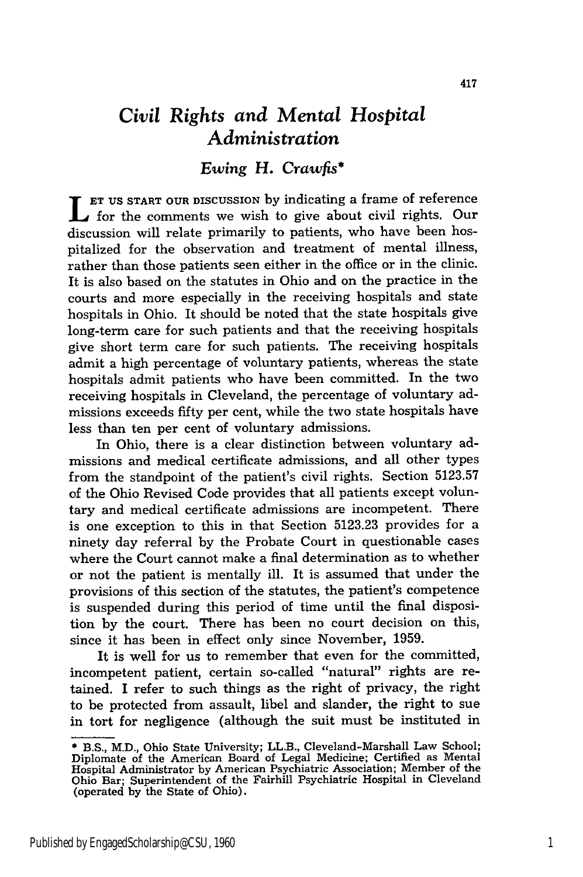### *Civil Rights and Mental Hospital Administration*

#### *Ewing H. Crawfis\**

**L ET US** START OUR DISCUSSION by indicating a frame of reference for the comments we wish to give about civil rights. Our discussion will relate primarily to patients, who have been hospitalized for the observation and treatment of mental illness, rather than those patients seen either in the office or in the clinic. It is also based on the statutes in Ohio and on the practice in the courts and more especially in the receiving hospitals and state hospitals in Ohio. It should be noted that the state hospitals give long-term care for such patients and that the receiving hospitals give short term care for such patients. The receiving hospitals admit a high percentage of voluntary patients, whereas the state hospitals admit patients who have been committed. In the two receiving hospitals in Cleveland, the percentage of voluntary admissions exceeds fifty per cent, while the two state hospitals have less than ten per cent of voluntary admissions.

In Ohio, there is a clear distinction between voluntary admissions and medical certificate admissions, and all other types from the standpoint of the patient's civil rights. Section 5123.57 of the Ohio Revised Code provides that all patients except voluntary and medical certificate admissions are incompetent. There is one exception to this in that Section 5123.23 provides for a ninety day referral by the Probate Court in questionable cases where the Court cannot make a final determination as to whether or not the patient is mentally ill. It is assumed that under the provisions of this section of the statutes, the patient's competence is suspended during this period of time until the final disposition by the court. There has been no court decision on this, since it has been in effect only since November, 1959.

It is well for us to remember that even for the committed, incompetent patient, certain so-called "natural" rights are retained. I refer to such things as the right of privacy, the right to be protected from assault, libel and slander, the right to sue in tort for negligence (although the suit must be instituted in

**<sup>\*</sup>** B.S., M.D., Ohio State University; LL.B., Cleveland-Marshall Law School; Diplomate of the American Board of Legal Medicine; Certified as Menta Hospital Administrator by American Psychiatric Association; Member of the Ohio Bar; Superintendent of the Fairhill Psychiatric Hospital in Cleveland (operated by the State of Ohio).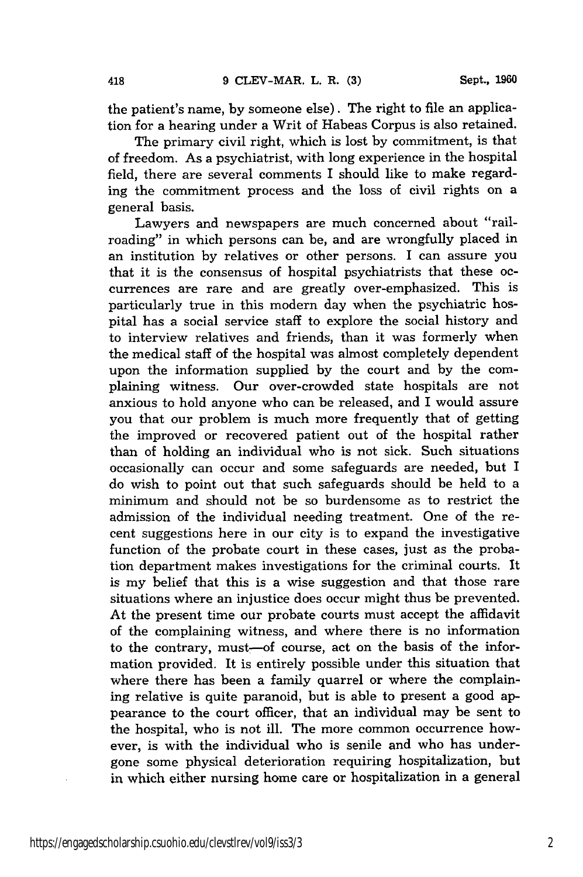the patient's name, by someone else). The right to file an application for a hearing under a Writ of Habeas Corpus is also retained.

The primary civil right, which is lost by commitment, is that of freedom. As a psychiatrist, with long experience in the hospital field, there are several comments I should like to make regarding the commitment process and the loss of civil rights on a general basis.

Lawyers and newspapers are much concerned about "railroading" in which persons can be, and are wrongfully placed in an institution by relatives or other persons. I can assure you that it is the consensus of hospital psychiatrists that these occurrences are rare and are greatly over-emphasized. This is particularly true in this modern day when the psychiatric hospital has a social service staff to explore the social history and to interview relatives and friends, than it was formerly when the medical staff of the hospital was almost completely dependent upon the information supplied by the court and by the complaining witness. Our over-crowded state hospitals are not anxious to hold anyone who can be released, and I would assure you that our problem is much more frequently that of getting the improved or recovered patient out of the hospital rather than of holding an individual who is not sick. Such situations occasionally can occur and some safeguards are needed, but I do wish to point out that such safeguards should be held to a minimum and should not be so burdensome as to restrict the admission of the individual needing treatment. One of the recent suggestions here in our city is to expand the investigative function of the probate court in these cases, just as the probation department makes investigations for the criminal courts. It is my belief that this is a wise suggestion and that those rare situations where an injustice does occur might thus be prevented. At the present time our probate courts must accept the affidavit of the complaining witness, and where there is no information to the contrary, must-of course, act on the basis of the information provided. It is entirely possible under this situation that where there has been a family quarrel or where the complaining relative is quite paranoid, but is able to present a good appearance to the court officer, that an individual may be sent to the hospital, who is not ill. The more common occurrence however, is with the individual who is senile and who has undergone some physical deterioration requiring hospitalization, but in which either nursing home care or hospitalization in a general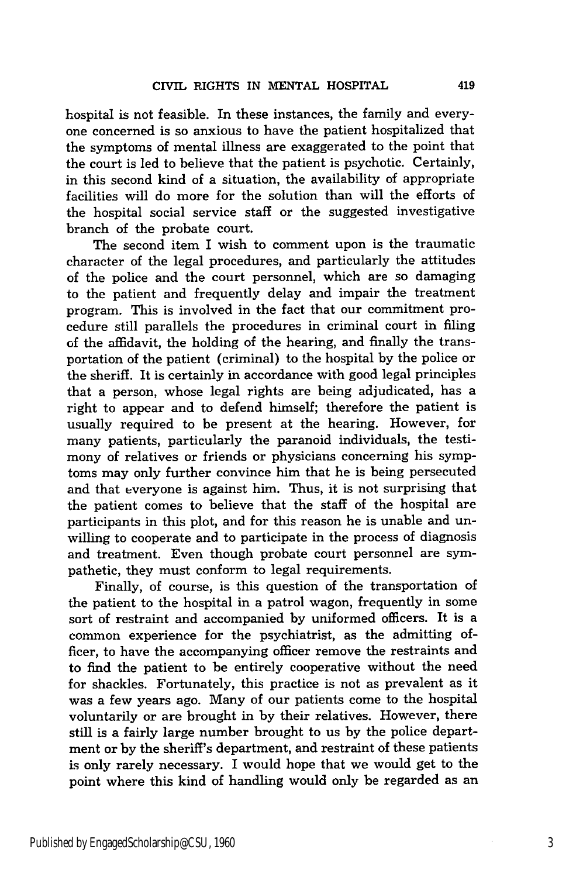hospital is not feasible. In these instances, the family and everyone concerned is so anxious to have the patient hospitalized that the symptoms of mental illness are exaggerated to the point that the court is led to believe that the patient is psychotic. Certainly, in this second kind of a situation, the availability of appropriate facilities will do more for the solution than will the efforts of the hospital social service staff or the suggested investigative branch of the probate court.

The second item I wish to comment upon is the traumatic character of the legal procedures, and particularly the attitudes of the police and the court personnel, which are so damaging to the patient and frequently delay and impair the treatment program. This is involved in the fact that our commitment procedure still parallels the procedures in criminal court in filing of the affidavit, the holding of the hearing, and finally the transportation of the patient (criminal) to the hospital by the police or the sheriff. It is certainly in accordance with good legal principles that a person, whose legal rights are being adjudicated, has a right to appear and to defend himself; therefore the patient is usually required to be present at the hearing. However, for many patients, particularly the paranoid individuals, the testimony of relatives or friends or physicians concerning his symptoms may only further convince him that he is being persecuted and that everyone is against him. Thus, it is not surprising that the patient comes to believe that the staff of the hospital are participants in this plot, and for this reason he is unable and unwilling to cooperate and to participate in the process of diagnosis and treatment. Even though probate court personnel are sympathetic, they must conform to legal requirements.

Finally, of course, is this question of the transportation of the patient to the hospital in a patrol wagon, frequently in some sort of restraint and accompanied by uniformed officers. It is a common experience for the psychiatrist, as the admitting officer, to have the accompanying officer remove the restraints and to find the patient to be entirely cooperative without the need for shackles. Fortunately, this practice is not as prevalent as it was a few years ago. Many of our patients come to the hospital voluntarily or are brought in by their relatives. However, there still is a fairly large number brought to us by the police department or by the sheriff's department, and restraint of these patients is only rarely necessary. I would hope that we would get to the point where this kind of handling would only be regarded as an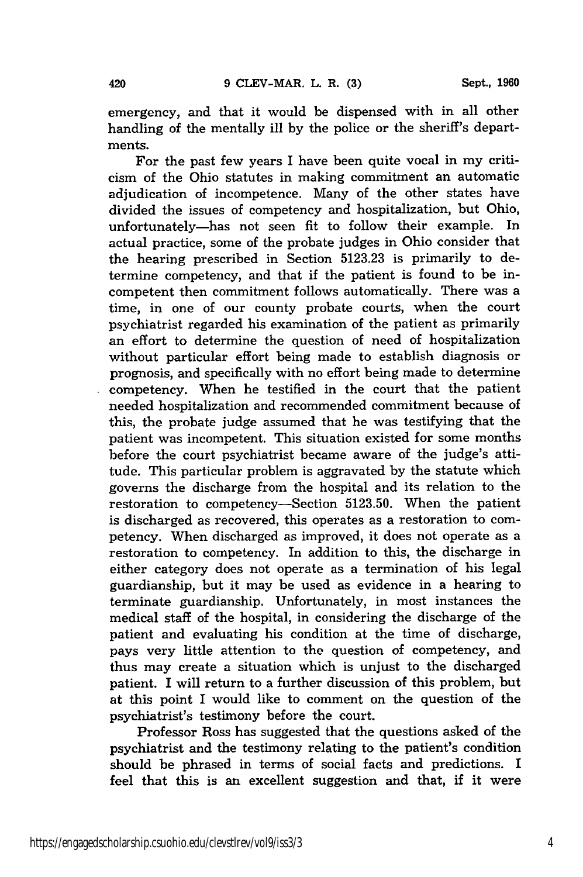emergency, and that it would be dispensed with in all other handling of the mentally ill by the police or the sheriff's departments.

For the past few years I have been quite vocal in my criticism of the Ohio statutes in making commitment an automatic adjudication of incompetence. Many of the other states have divided the issues of competency and hospitalization, but Ohio, unfortunately-has not seen fit to follow their example. In actual practice, some of the probate judges in Ohio consider that the hearing prescribed in Section 5123.23 is primarily to determine competency, and that if the patient is found to be incompetent then commitment follows automatically. There was a time, in one of our county probate courts, when the court psychiatrist regarded his examination of the patient as primarily an effort to determine the question of need of hospitalization without particular effort being made to establish diagnosis or prognosis, and specifically with no effort being made to determine competency. When he testified in the court that the patient needed hospitalization and recommended commitment because of this, the probate judge assumed that he was testifying that the patient was incompetent. This situation existed for some months before the court psychiatrist became aware of the judge's attitude. This particular problem is aggravated by the statute which governs the discharge from the hospital and its relation to the restoration to competency-Section 5123.50. When the patient is discharged as recovered, this operates as a restoration to competency. When discharged as improved, it does not operate as a restoration to competency. In addition to this, the discharge in either category does not operate as a termination of his legal guardianship, but it may be used as evidence in a hearing to terminate guardianship. Unfortunately, in most instances the medical staff of the hospital, in considering the discharge of the patient and evaluating his condition at the time of discharge, pays very little attention to the question of competency, and thus may create a situation which is unjust to the discharged patient. I will return to a further discussion of this problem, but at this point I would like to comment on the question of the psychiatrist's testimony before the court.

Professor Ross has suggested that the questions asked of the psychiatrist and the testimony relating to the patient's condition should be phrased in terms of social facts and predictions. I feel that this is an excellent suggestion and that, if it were

l,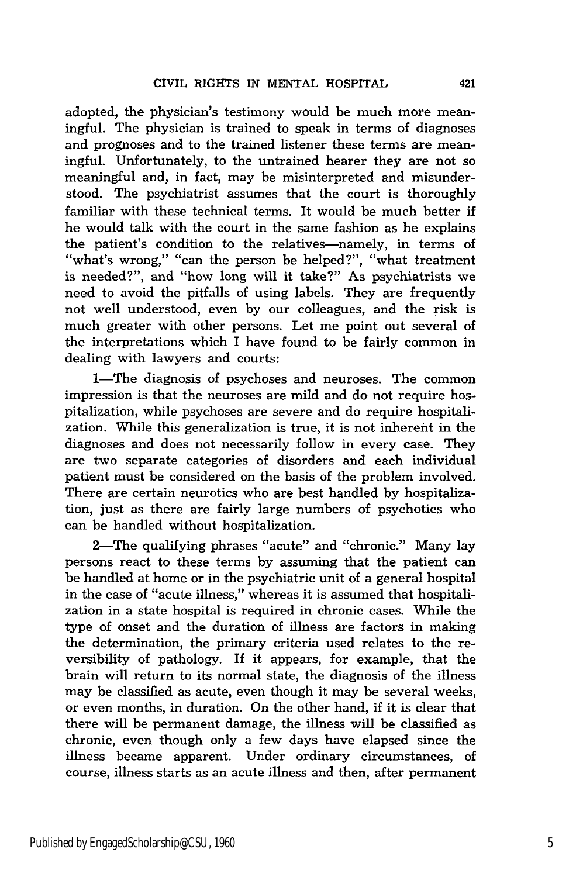adopted, the physician's testimony would be much more meaningful. The physician is trained to speak in terms of diagnoses and prognoses and to the trained listener these terms are meaningful. Unfortunately, to the untrained hearer they are not so meaningful and, in fact, may be misinterpreted and misunderstood. The psychiatrist assumes that the court is thoroughly familiar with these technical terms. It would be much better if he would talk with the court in the same fashion as he explains the patient's condition to the relatives-namely, in terms of "what's wrong," "can the person be helped?", "what treatment is needed?", and "how long will it take?" As psychiatrists we need to avoid the pitfalls of using labels. They are frequently not well understood, even by our colleagues, and the risk is much greater with other persons. Let me point out several of the interpretations which I have found to be fairly common in dealing with lawyers and courts:

1—The diagnosis of psychoses and neuroses. The common impression is that the neuroses are mild and do not require hospitalization, while psychoses are severe and do require hospitalization. While this generalization is true, it is not inherent in the diagnoses and does not necessarily follow in every case. They are two separate categories of disorders and each individual patient must be considered on the basis of the problem involved. There are certain neurotics who are best handled by hospitalization, just as there are fairly large numbers of psychotics who can be handled without hospitalization.

2-The qualifying phrases "acute" and "chronic." Many lay persons react to these terms by assuming that the patient can be handled at home or in the psychiatric unit of a general hospital in the case of "acute illness," whereas it is assumed that hospitalization in a state hospital is required in chronic cases. While the type of onset and the duration of illness are factors in making the determination, the primary criteria used relates to the reversibility of pathology. If it appears, for example, that the brain will return to its normal state, the diagnosis of the illness may be classified as acute, even though it may be several weeks, or even months, in duration. On the other hand, if it is clear that there will be permanent damage, the illness will be classified as chronic, even though only a few days have elapsed since the illness became apparent. Under ordinary circumstances, of course, illness starts as an acute illness and then, after permanent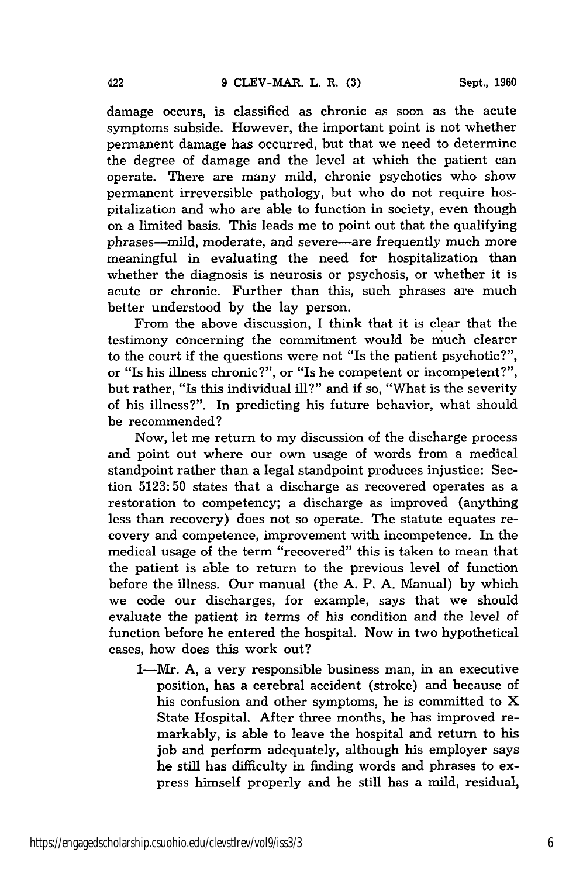damage occurs, is classified as chronic as soon as the acute symptoms subside. However, the important point is not whether permanent damage has occurred, but that we need to determine the degree of damage and the level at which the patient can operate. There are many mild, chronic psychotics who show permanent irreversible pathology, but who do not require hospitalization and who are able to function in society, even though on a limited basis. This leads me to point out that the qualifying phrases--mild, moderate, and severe--are frequently much more meaningful in evaluating the need for hospitalization than whether the diagnosis is neurosis or psychosis, or whether it is acute or chronic. Further than this, such phrases are much better understood by the lay person.

From the above discussion, I think that it is clear that the testimony concerning the commitment would be much clearer to the court if the questions were not "Is the patient psychotic?", or "Is his illness chronic?", or "Is he competent or incompetent?", but rather, "Is this individual ill?" and if so, "What is the severity of his illness?". In predicting his future behavior, what should be recommended?

Now, let me return to my discussion of the discharge process and point out where our own usage of words from a medical standpoint rather than a legal standpoint produces injustice: Section 5123:50 states that a discharge as recovered operates as a restoration to competency; a discharge as improved (anything less than recovery) does not so operate. The statute equates recovery and competence, improvement with incompetence. In the medical usage of the term "recovered" this is taken to mean that the patient is able to return to the previous level of function before the illness. Our manual (the A. P. A. Manual) by which we code our discharges, for example, says that we should evaluate the patient in terms of his condition and the level of function before he entered the hospital. Now in two hypothetical cases, how does this work out?

1-Mr. A, a very responsible business man, in an executive position, has a cerebral accident (stroke) and because of his confusion and other symptoms, he is committed to X State Hospital. After three months, he has improved remarkably, is able to leave the hospital and return to his job and perform adequately, although his employer says he still has difficulty in finding words and phrases to express himself properly and he still has a mild, residual,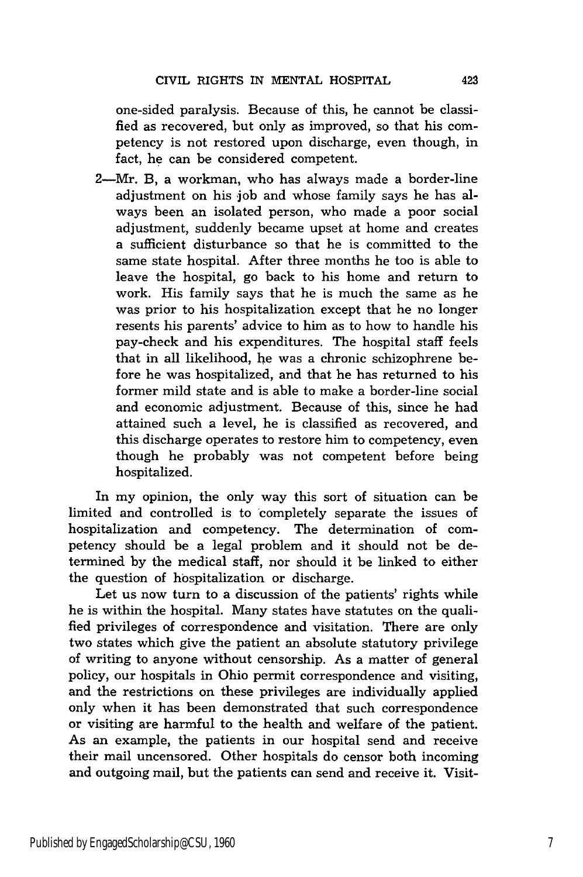one-sided paralysis. Because of this, he cannot be classified as recovered, but only as improved, so that his competency is not restored upon discharge, even though, in fact, he can be considered competent.

2-Mr. B, a workman, who has always made a border-line adjustment on his job and whose family says he has always been an isolated person, who made a poor social adjustment, suddenly became upset at home and creates a sufficient disturbance so that he is committed to the same state hospital. After three months he too is able to leave the hospital, go back to his home and return to work. His family says that he is much the same as he was prior to his hospitalization except that he no longer resents his parents' advice to him as to how to handle his pay-check and his expenditures. The hospital staff feels that in all likelihood, he was a chronic schizophrene before he was hospitalized, and that he has returned to his former mild state and is able to make a border-line social and economic adjustment. Because of this, since he had attained such a level, he is classified as recovered, and this discharge operates to restore him to competency, even though he probably was not competent before being hospitalized.

In my opinion, the only way this sort of situation can be limited and controlled is to completely separate the issues of hospitalization and competency. The determination of competency should be a legal problem and it should not be determined by the medical staff, nor should it be linked to either the question of hospitalization or discharge.

Let us now turn to a discussion of the patients' rights while he is within the hospital. Many states have statutes on the qualified privileges of correspondence and visitation. There are only two states which give the patient an absolute statutory privilege of writing to anyone without censorship. As a matter of general policy, our hospitals in Ohio permit correspondence and visiting, and the restrictions on these privileges are individually applied only when it has been demonstrated that such correspondence or visiting are harmful to the health and welfare of the patient. As an example, the patients in our hospital send and receive their mail uncensored. Other hospitals do censor both incoming and outgoing mail, but the patients can send and receive it. Visit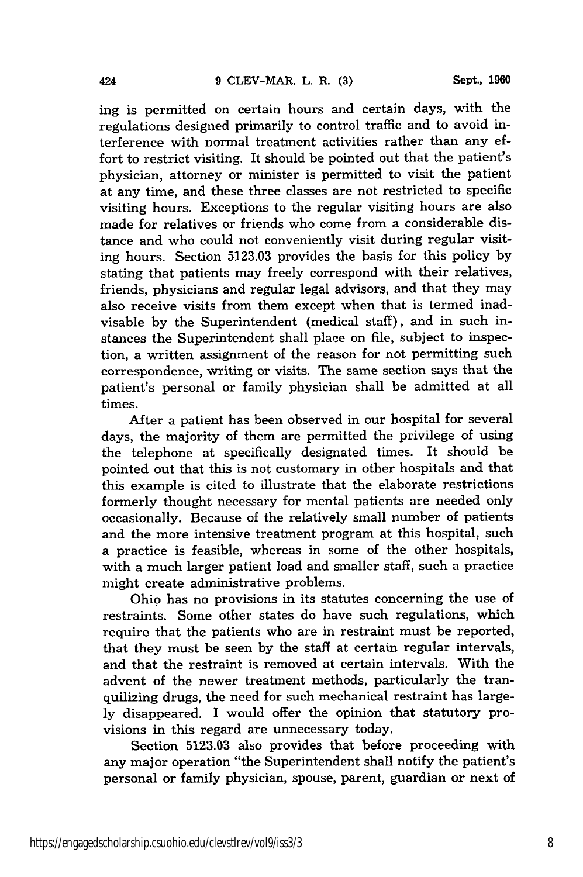ing is permitted on certain hours and certain days, with the regulations designed primarily to control traffic and to avoid interference with normal treatment activities rather than any effort to restrict visiting. It should be pointed out that the patient's physician, attorney or minister is permitted to visit the patient at any time, and these three classes are not restricted to specific visiting hours. Exceptions to the regular visiting hours are also made for relatives or friends who come from a considerable distance and who could not conveniently visit during regular visiting hours. Section 5123.03 provides the basis for this policy by stating that patients may freely correspond with their relatives, friends, physicians and regular legal advisors, and that they may also receive visits from them except when that is termed inadvisable by the Superintendent (medical staff), and in such instances the Superintendent shall place on file, subject to inspection, a written assignment of the reason for not permitting such correspondence, writing or visits. The same section says that the patient's personal or family physician shall be admitted at all times.

After a patient has been observed in our hospital for several days, the majority of them are permitted the privilege of using the telephone at specifically designated times. It should be pointed out that this is not customary in other hospitals and that this example is cited to illustrate that the elaborate restrictions formerly thought necessary for mental patients are needed only occasionally. Because of the relatively small number of patients and the more intensive treatment program at this hospital, such a practice is feasible, whereas in some of the other hospitals, with a much larger patient load and smaller staff, such a practice might create administrative problems.

Ohio has no provisions in its statutes concerning the use of restraints. Some other states do have such regulations, which require that the patients who are in restraint must be reported, that they must be seen by the staff at certain regular intervals, and that the restraint is removed at certain intervals. With the advent of the newer treatment methods, particularly the tranquilizing drugs, the need for such mechanical restraint has largely disappeared. I would offer the opinion that statutory provisions in this regard are unnecessary today.

Section 5123.03 also provides that before proceeding with any major operation "the Superintendent shall notify the patient's personal or family physician, spouse, parent, guardian or next of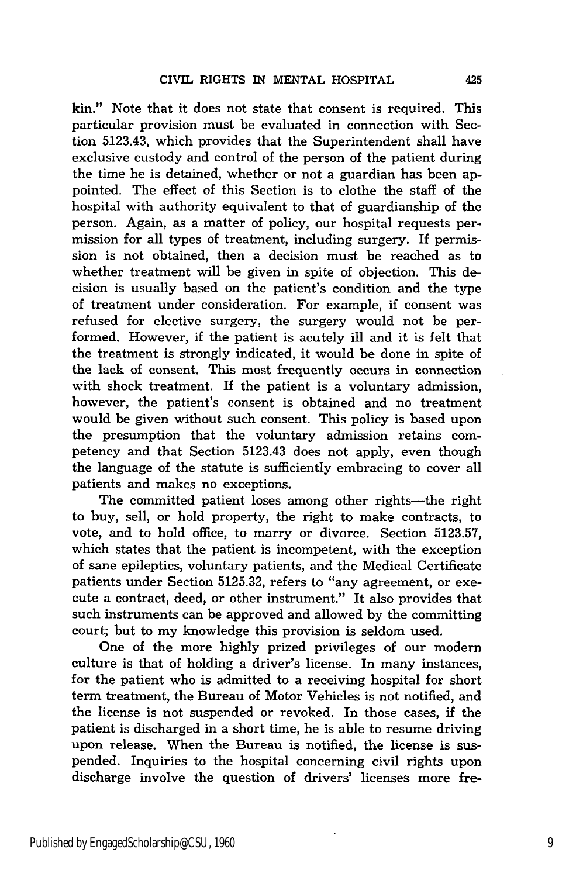kin." Note that it does not state that consent is required. This particular provision must be evaluated in connection with Section 5123.43, which provides that the Superintendent shall have exclusive custody and control of the person of the patient during the time he is detained, whether or not a guardian has been appointed. The effect of this Section is to clothe the staff of the hospital with authority equivalent to that of guardianship of the person. Again, as a matter of policy, our hospital requests permission for all types of treatment, including surgery. If permission is not obtained, then a decision must be reached as to whether treatment will be given in spite of objection. This decision is usually based on the patient's condition and the type of treatment under consideration. For example, if consent was refused for elective surgery, the surgery would not be performed. However, if the patient is acutely ill and it is felt that the treatment is strongly indicated, it would be done in spite of the lack of consent. This most frequently occurs in connection with shock treatment. If the patient is a voluntary admission, however, the patient's consent is obtained and no treatment would be given without such consent. This policy is based upon the presumption that the voluntary admission retains competency and that Section 5123.43 does not apply, even though the language of the statute is sufficiently embracing to cover all patients and makes no exceptions.

The committed patient loses among other rights-the right to buy, sell, or hold property, the right to make contracts, to vote, and to hold office, to marry or divorce. Section 5123.57, which states that the patient is incompetent, with the exception of sane epileptics, voluntary patients, and the Medical Certificate patients under Section 5125.32, refers to "any agreement, or execute a contract, deed, or other instrument." It also provides that such instruments can be approved and allowed by the committing court; but to my knowledge this provision is seldom used.

One of the more highly prized privileges of our modern culture is that of holding a driver's license. In many instances, for the patient who is admitted to a receiving hospital for short term treatment, the Bureau of Motor Vehicles is not notified, and the license is not suspended or revoked. In those cases, if the patient is discharged in a short time, he is able to resume driving upon release. When the Bureau is notified, the license is suspended. Inquiries to the hospital concerning civil rights upon discharge involve the question of drivers' licenses more fre